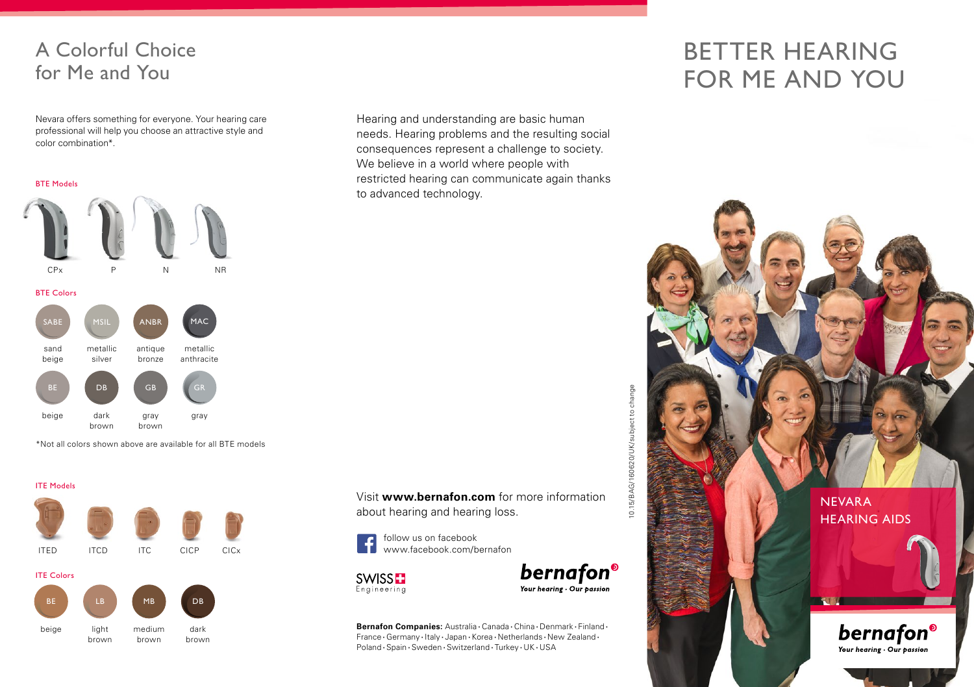## A Colorful Choice for Me and You

Nevara offers something for everyone. Your hearing care professional will help you choose an attractive style and color combination\*.

BTE Models



\*Not all colors shown above are available for all BTE models



Hearing and understanding are basic human needs. Hearing problems and the resulting social consequences represent a challenge to society. We believe in a world where people with restricted hearing can communicate again thanks to advanced technology.

Visit **www.bernafon.com** for more information about hearing and hearing loss.





bernafon<sup>®</sup> Your hearing . Our passion

**Bernafon Companies:** Australia **∙** Canada **∙** China **∙** Denmark **∙** Finland **∙** France **∙** Germany **∙** Italy **∙** Japan **∙** Korea **∙** Netherlands **∙** New Zealand **∙** Poland **∙** Spain **∙** Sweden **∙** Switzerland **∙** Turkey **∙** UK **∙** USA

## BETTER HEARING FOR ME AND YOU